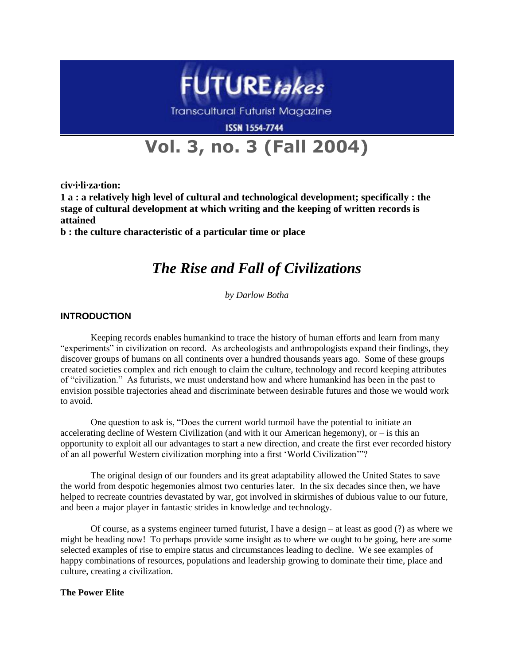

# **Vol. 3, no. 3 (Fall 2004)**

**civ·i·li·za·tion:** 

**1 a : a relatively high level of cultural and technological development; specifically : the stage of cultural development at which writing and the keeping of written records is attained** 

**b : the culture characteristic of a particular time or place**

## *The Rise and Fall of Civilizations*

*by Darlow Botha*

### **INTRODUCTION**

Keeping records enables humankind to trace the history of human efforts and learn from many "experiments" in civilization on record. As archeologists and anthropologists expand their findings, they discover groups of humans on all continents over a hundred thousands years ago. Some of these groups created societies complex and rich enough to claim the culture, technology and record keeping attributes of "civilization." As futurists, we must understand how and where humankind has been in the past to envision possible trajectories ahead and discriminate between desirable futures and those we would work to avoid.

One question to ask is, "Does the current world turmoil have the potential to initiate an accelerating decline of Western Civilization (and with it our American hegemony), or  $-$  is this an opportunity to exploit all our advantages to start a new direction, and create the first ever recorded history of an all powerful Western civilization morphing into a first "World Civilization""?

The original design of our founders and its great adaptability allowed the United States to save the world from despotic hegemonies almost two centuries later. In the six decades since then, we have helped to recreate countries devastated by war, got involved in skirmishes of dubious value to our future, and been a major player in fantastic strides in knowledge and technology.

Of course, as a systems engineer turned futurist, I have a design – at least as good (?) as where we might be heading now! To perhaps provide some insight as to where we ought to be going, here are some selected examples of rise to empire status and circumstances leading to decline. We see examples of happy combinations of resources, populations and leadership growing to dominate their time, place and culture, creating a civilization.

#### **The Power Elite**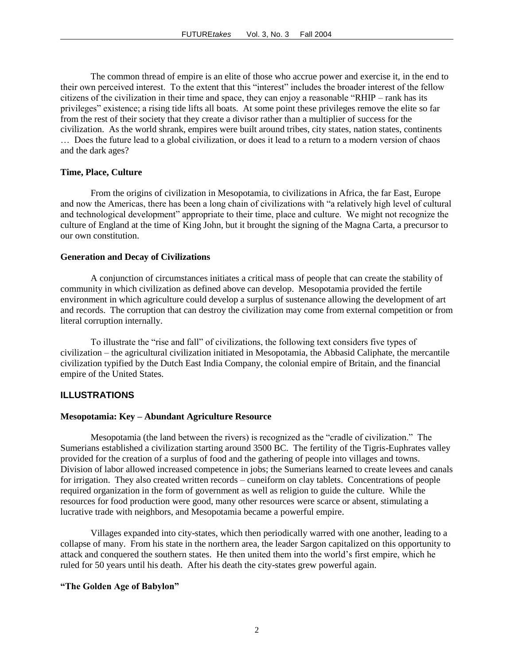The common thread of empire is an elite of those who accrue power and exercise it, in the end to their own perceived interest. To the extent that this "interest" includes the broader interest of the fellow citizens of the civilization in their time and space, they can enjoy a reasonable "RHIP – rank has its privileges" existence; a rising tide lifts all boats. At some point these privileges remove the elite so far from the rest of their society that they create a divisor rather than a multiplier of success for the civilization. As the world shrank, empires were built around tribes, city states, nation states, continents … Does the future lead to a global civilization, or does it lead to a return to a modern version of chaos and the dark ages?

#### **Time, Place, Culture**

From the origins of civilization in Mesopotamia, to civilizations in Africa, the far East, Europe and now the Americas, there has been a long chain of civilizations with "a relatively high level of cultural and technological development" appropriate to their time, place and culture. We might not recognize the culture of England at the time of King John, but it brought the signing of the Magna Carta, a precursor to our own constitution.

#### **Generation and Decay of Civilizations**

A conjunction of circumstances initiates a critical mass of people that can create the stability of community in which civilization as defined above can develop. Mesopotamia provided the fertile environment in which agriculture could develop a surplus of sustenance allowing the development of art and records. The corruption that can destroy the civilization may come from external competition or from literal corruption internally.

To illustrate the "rise and fall" of civilizations, the following text considers five types of civilization – the agricultural civilization initiated in Mesopotamia, the Abbasid Caliphate, the mercantile civilization typified by the Dutch East India Company, the colonial empire of Britain, and the financial empire of the United States.

#### **ILLUSTRATIONS**

#### **Mesopotamia: Key – Abundant Agriculture Resource**

Mesopotamia (the land between the rivers) is recognized as the "cradle of civilization." The Sumerians established a civilization starting around 3500 BC. The fertility of the Tigris-Euphrates valley provided for the creation of a surplus of food and the gathering of people into villages and towns. Division of labor allowed increased competence in jobs; the Sumerians learned to create levees and canals for irrigation. They also created written records – cuneiform on clay tablets. Concentrations of people required organization in the form of government as well as religion to guide the culture. While the resources for food production were good, many other resources were scarce or absent, stimulating a lucrative trade with neighbors, and Mesopotamia became a powerful empire.

Villages expanded into city-states, which then periodically warred with one another, leading to a collapse of many. From his state in the northern area, the leader Sargon capitalized on this opportunity to attack and conquered the southern states. He then united them into the world"s first empire, which he ruled for 50 years until his death. After his death the city-states grew powerful again.

#### **"The Golden Age of Babylon"**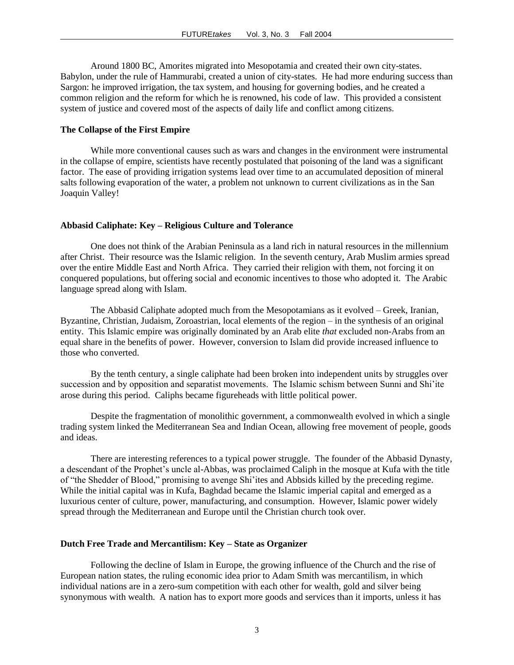Around 1800 BC, Amorites migrated into Mesopotamia and created their own city-states. Babylon, under the rule of Hammurabi, created a union of city-states. He had more enduring success than Sargon: he improved irrigation, the tax system, and housing for governing bodies, and he created a common religion and the reform for which he is renowned, his code of law. This provided a consistent system of justice and covered most of the aspects of daily life and conflict among citizens.

#### **The Collapse of the First Empire**

While more conventional causes such as wars and changes in the environment were instrumental in the collapse of empire, scientists have recently postulated that poisoning of the land was a significant factor. The ease of providing irrigation systems lead over time to an accumulated deposition of mineral salts following evaporation of the water, a problem not unknown to current civilizations as in the San Joaquin Valley!

#### **Abbasid Caliphate: Key – Religious Culture and Tolerance**

One does not think of the Arabian Peninsula as a land rich in natural resources in the millennium after Christ. Their resource was the Islamic religion. In the seventh century, Arab Muslim armies spread over the entire Middle East and North Africa. They carried their religion with them, not forcing it on conquered populations, but offering social and economic incentives to those who adopted it. The Arabic language spread along with Islam.

The Abbasid Caliphate adopted much from the Mesopotamians as it evolved – Greek, Iranian, Byzantine, Christian, Judaism, Zoroastrian, local elements of the region – in the synthesis of an original entity. This Islamic empire was originally dominated by an Arab elite *that* excluded non-Arabs from an equal share in the benefits of power. However, conversion to Islam did provide increased influence to those who converted.

By the tenth century, a single caliphate had been broken into independent units by struggles over succession and by opposition and separatist movements. The Islamic schism between Sunni and Shi'ite arose during this period. Caliphs became figureheads with little political power.

Despite the fragmentation of monolithic government, a commonwealth evolved in which a single trading system linked the Mediterranean Sea and Indian Ocean, allowing free movement of people, goods and ideas.

There are interesting references to a typical power struggle. The founder of the Abbasid Dynasty, a descendant of the Prophet"s uncle al-Abbas, was proclaimed Caliph in the mosque at Kufa with the title of "the Shedder of Blood," promising to avenge Shi"ites and Abbsids killed by the preceding regime. While the initial capital was in Kufa, Baghdad became the Islamic imperial capital and emerged as a luxurious center of culture, power, manufacturing, and consumption. However, Islamic power widely spread through the Mediterranean and Europe until the Christian church took over.

#### **Dutch Free Trade and Mercantilism: Key – State as Organizer**

Following the decline of Islam in Europe, the growing influence of the Church and the rise of European nation states, the ruling economic idea prior to Adam Smith was mercantilism, in which individual nations are in a zero-sum competition with each other for wealth, gold and silver being synonymous with wealth. A nation has to export more goods and services than it imports, unless it has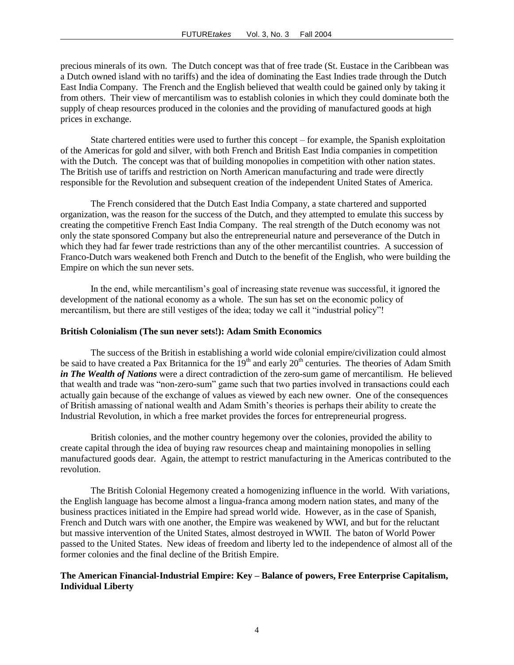precious minerals of its own. The Dutch concept was that of free trade (St. Eustace in the Caribbean was a Dutch owned island with no tariffs) and the idea of dominating the East Indies trade through the Dutch East India Company. The French and the English believed that wealth could be gained only by taking it from others. Their view of mercantilism was to establish colonies in which they could dominate both the supply of cheap resources produced in the colonies and the providing of manufactured goods at high prices in exchange.

State chartered entities were used to further this concept – for example, the Spanish exploitation of the Americas for gold and silver, with both French and British East India companies in competition with the Dutch. The concept was that of building monopolies in competition with other nation states. The British use of tariffs and restriction on North American manufacturing and trade were directly responsible for the Revolution and subsequent creation of the independent United States of America.

The French considered that the Dutch East India Company, a state chartered and supported organization, was the reason for the success of the Dutch, and they attempted to emulate this success by creating the competitive French East India Company. The real strength of the Dutch economy was not only the state sponsored Company but also the entrepreneurial nature and perseverance of the Dutch in which they had far fewer trade restrictions than any of the other mercantilist countries. A succession of Franco-Dutch wars weakened both French and Dutch to the benefit of the English, who were building the Empire on which the sun never sets.

In the end, while mercantilism"s goal of increasing state revenue was successful, it ignored the development of the national economy as a whole. The sun has set on the economic policy of mercantilism, but there are still vestiges of the idea; today we call it "industrial policy"!

#### **British Colonialism (The sun never sets!): Adam Smith Economics**

The success of the British in establishing a world wide colonial empire/civilization could almost be said to have created a Pax Britannica for the 19<sup>th</sup> and early 20<sup>th</sup> centuries. The theories of Adam Smith *in The Wealth of Nations* were a direct contradiction of the zero-sum game of mercantilism. He believed that wealth and trade was "non-zero-sum" game such that two parties involved in transactions could each actually gain because of the exchange of values as viewed by each new owner. One of the consequences of British amassing of national wealth and Adam Smith"s theories is perhaps their ability to create the Industrial Revolution, in which a free market provides the forces for entrepreneurial progress.

British colonies, and the mother country hegemony over the colonies, provided the ability to create capital through the idea of buying raw resources cheap and maintaining monopolies in selling manufactured goods dear. Again, the attempt to restrict manufacturing in the Americas contributed to the revolution.

The British Colonial Hegemony created a homogenizing influence in the world. With variations, the English language has become almost a lingua-franca among modern nation states, and many of the business practices initiated in the Empire had spread world wide. However, as in the case of Spanish, French and Dutch wars with one another, the Empire was weakened by WWI, and but for the reluctant but massive intervention of the United States, almost destroyed in WWII. The baton of World Power passed to the United States. New ideas of freedom and liberty led to the independence of almost all of the former colonies and the final decline of the British Empire.

#### **The American Financial-Industrial Empire: Key – Balance of powers, Free Enterprise Capitalism, Individual Liberty**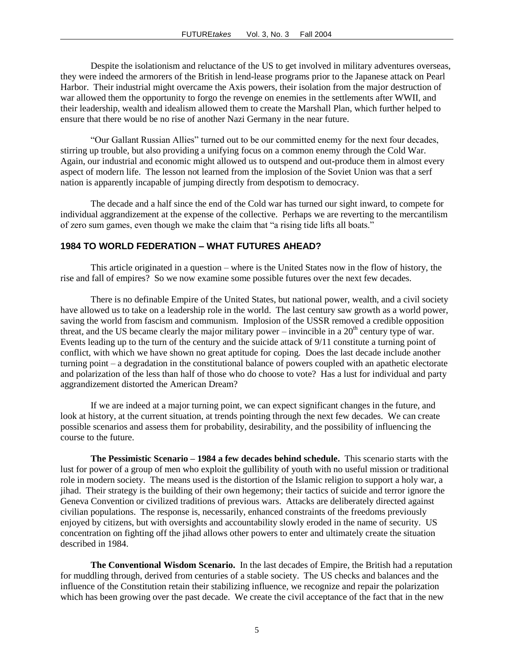Despite the isolationism and reluctance of the US to get involved in military adventures overseas, they were indeed the armorers of the British in lend-lease programs prior to the Japanese attack on Pearl Harbor. Their industrial might overcame the Axis powers, their isolation from the major destruction of war allowed them the opportunity to forgo the revenge on enemies in the settlements after WWII, and their leadership, wealth and idealism allowed them to create the Marshall Plan, which further helped to ensure that there would be no rise of another Nazi Germany in the near future.

"Our Gallant Russian Allies" turned out to be our committed enemy for the next four decades, stirring up trouble, but also providing a unifying focus on a common enemy through the Cold War. Again, our industrial and economic might allowed us to outspend and out**-**produce them in almost every aspect of modern life. The lesson not learned from the implosion of the Soviet Union was that a serf nation is apparently incapable of jumping directly from despotism to democracy.

The decade and a half since the end of the Cold war has turned our sight inward, to compete for individual aggrandizement at the expense of the collective. Perhaps we are reverting to the mercantilism of zero sum games, even though we make the claim that "a rising tide lifts all boats."

#### **1984 TO WORLD FEDERATION – WHAT FUTURES AHEAD?**

This article originated in a question – where is the United States now in the flow of history, the rise and fall of empires? So we now examine some possible futures over the next few decades.

There is no definable Empire of the United States, but national power, wealth, and a civil society have allowed us to take on a leadership role in the world. The last century saw growth as a world power, saving the world from fascism and communism. Implosion of the USSR removed a credible opposition threat, and the US became clearly the major military power – invincible in a  $20<sup>th</sup>$  century type of war. Events leading up to the turn of the century and the suicide attack of 9/11 constitute a turning point of conflict, with which we have shown no great aptitude for coping. Does the last decade include another turning point – a degradation in the constitutional balance of powers coupled with an apathetic electorate and polarization of the less than half of those who do choose to vote? Has a lust for individual and party aggrandizement distorted the American Dream?

If we are indeed at a major turning point, we can expect significant changes in the future, and look at history, at the current situation, at trends pointing through the next few decades. We can create possible scenarios and assess them for probability, desirability, and the possibility of influencing the course to the future.

**The Pessimistic Scenario – 1984 a few decades behind schedule.** This scenario starts with the lust for power of a group of men who exploit the gullibility of youth with no useful mission or traditional role in modern society. The means used is the distortion of the Islamic religion to support a holy war, a jihad. Their strategy is the building of their own hegemony; their tactics of suicide and terror ignore the Geneva Convention or civilized traditions of previous wars. Attacks are deliberately directed against civilian populations. The response is, necessarily, enhanced constraints of the freedoms previously enjoyed by citizens, but with oversights and accountability slowly eroded in the name of security. US concentration on fighting off the jihad allows other powers to enter and ultimately create the situation described in 1984.

**The Conventional Wisdom Scenario.** In the last decades of Empire, the British had a reputation for muddling through, derived from centuries of a stable society. The US checks and balances and the influence of the Constitution retain their stabilizing influence, we recognize and repair the polarization which has been growing over the past decade. We create the civil acceptance of the fact that in the new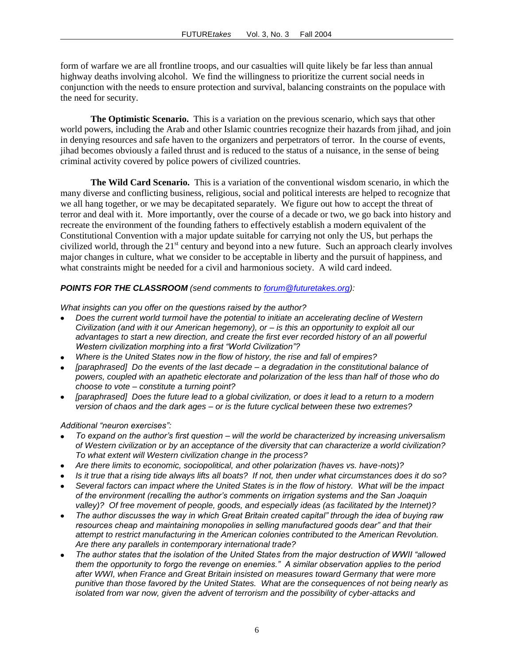form of warfare we are all frontline troops, and our casualties will quite likely be far less than annual highway deaths involving alcohol. We find the willingness to prioritize the current social needs in conjunction with the needs to ensure protection and survival, balancing constraints on the populace with the need for security.

**The Optimistic Scenario.** This is a variation on the previous scenario, which says that other world powers, including the Arab and other Islamic countries recognize their hazards from jihad, and join in denying resources and safe haven to the organizers and perpetrators of terror. In the course of events, jihad becomes obviously a failed thrust and is reduced to the status of a nuisance, in the sense of being criminal activity covered by police powers of civilized countries.

**The Wild Card Scenario.** This is a variation of the conventional wisdom scenario, in which the many diverse and conflicting business, religious, social and political interests are helped to recognize that we all hang together, or we may be decapitated separately. We figure out how to accept the threat of terror and deal with it. More importantly, over the course of a decade or two, we go back into history and recreate the environment of the founding fathers to effectively establish a modern equivalent of the Constitutional Convention with a major update suitable for carrying not only the US, but perhaps the civilized world, through the  $21<sup>st</sup>$  century and beyond into a new future. Such an approach clearly involves major changes in culture, what we consider to be acceptable in liberty and the pursuit of happiness, and what constraints might be needed for a civil and harmonious society. A wild card indeed.

#### *POINTS FOR THE CLASSROOM (send comments to [forum@futuretakes.org\)](mailto:forum@futuretakes.org):*

*What insights can you offer on the questions raised by the author?*

- *Does the current world turmoil have the potential to initiate an accelerating decline of Western Civilization (and with it our American hegemony), or – is this an opportunity to exploit all our advantages to start a new direction, and create the first ever recorded history of an all powerful Western civilization morphing into a first "World Civilization"?*
- *Where is the United States now in the flow of history, the rise and fall of empires?*
- *[paraphrased] Do the events of the last decade – a degradation in the constitutional balance of powers, coupled with an apathetic electorate and polarization of the less than half of those who do choose to vote – constitute a turning point?*
- *[paraphrased] Does the future lead to a global civilization, or does it lead to a return to a modern version of chaos and the dark ages – or is the future cyclical between these two extremes?*

*Additional "neuron exercises":*

- *To expand on the author's first question – will the world be characterized by increasing universalism of Western civilization or by an acceptance of the diversity that can characterize a world civilization? To what extent will Western civilization change in the process?*
- *Are there limits to economic, sociopolitical, and other polarization (haves vs. have-nots)?*
- *Is it true that a rising tide always lifts all boats? If not, then under what circumstances does it do so?*
- *Several factors can impact where the United States is in the flow of history. What will be the impact of the environment (recalling the author's comments on irrigation systems and the San Joaquin valley)? Of free movement of people, goods, and especially ideas (as facilitated by the Internet)?*
- *The author discusses the way in which Great Britain created capital" through the idea of buying raw resources cheap and maintaining monopolies in selling manufactured goods dear" and that their attempt to restrict manufacturing in the American colonies contributed to the American Revolution. Are there any parallels in contemporary international trade?*
- *The author states that the isolation of the United States from the major destruction of WWII "allowed them the opportunity to forgo the revenge on enemies." A similar observation applies to the period after WWI, when France and Great Britain insisted on measures toward Germany that were more punitive than those favored by the United States. What are the consequences of not being nearly as isolated from war now, given the advent of terrorism and the possibility of cyber-attacks and*